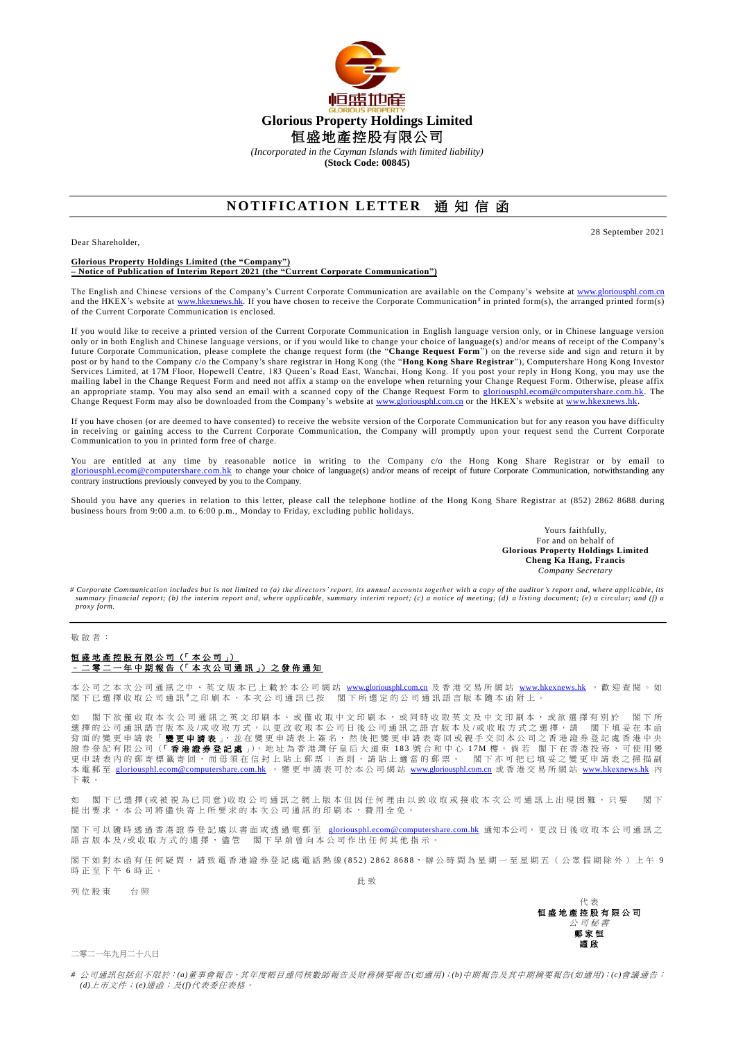

*(Incorporated in the Cayman Islands with limited liability)*

**(Stock Code: 00845)**

## **NOTIFICATION LETTER 通知信函**

Dear Shareholder,

**Glorious Property Holdings Limited (the "Company")**

**– Notice of Publication of Interim Report 2021 (the "Current Corporate Communication")**

The English and Chinese versions of the Company's Current Corporate Communication are available on the Company's website at [www.gloriousphl.com.cn](http://www.gloriousphl.com.cn/) and the HKEX's website at [www.hkexnews.hk.](http://www.hkexnews.hk/) If you have chosen to receive the Corporate Communication<sup>#</sup> in printed form(s), the arranged printed form(s) of the Current Corporate Communication is enclosed.

If you would like to receive a printed version of the Current Corporate Communication in English language version only, or in Chinese language version only or in both English and Chinese language versions, or if you would like to change your choice of language(s) and/or means of receipt of the Company's future Corporate Communication, please complete the change request form (the "**Change Request Form**") on the reverse side and sign and return it by post or by hand to the Company c/o the Company's share registrar in Hong Kong (the "**Hong Kong Share Registrar**"), Computershare Hong Kong Investor Services Limited, at 17M Floor, Hopewell Centre, 183 Queen's Road East, Wanchai, Hong Kong. If you post your reply in Hong Kong, you may use the mailing label in the Change Request Form and need not affix a stamp on the envelope when returning your Change Request Form. Otherwise, please affix an appropriate stamp. You may also send an email with a scanned copy of the Change Request Form to [gloriousphl.ecom@computershare.com.hk.](mailto:gloriousphl.ecom@computershare.com.hk) The Change Request Form may also be downloaded from the Company's website a[t www.gloriousphl.com.cn](http://www.gloriousphl.com.cn/) or the HKEX's website at [www.hkexnews.hk.](http://www.hkexnews.hk/)

If you have chosen (or are deemed to have consented) to receive the website version of the Corporate Communication but for any reason you have difficulty in receiving or gaining access to the Current Corporate Communication, the Company will promptly upon your request send the Current Corporate Communication to you in printed form free of charge.

You are entitled at any time by reasonable notice in writing to the Company c/o the Hong Kong Share Registrar or by email to m@computershare.com.hk to change your choice of language(s) and/or means of receipt of future Corporate Communication, notwithstanding any contrary instructions previously conveyed by you to the Company.

Should you have any queries in relation to this letter, please call the telephone hotline of the Hong Kong Share Registrar at (852) 2862 8688 during business hours from 9:00 a.m. to 6:00 p.m., Monday to Friday, excluding public holidays.

> Yours faithfully, For and on behalf of **Glorious Property Holdings Limited Cheng Ka Hang, Francis** *Company Secretary*

28 September 2021

*# Corporate Communication includes but is not limited to (a) the directors' report, its annual accounts togeth er with a copy of the auditor's report and, where applicable, its summary financial report; (b) the interim report and, where applicable, summary interim report; (c) a notice of meeting; (d) a listing document; (e) a circular; and (f) a proxy form.*

敬 啟 者 :

## 恒 盛 地 產 控 股 有 限 公 司 (「 本 公 司 」) – 二 零 二 一 年中期報告 (「 本 次 公 司 通 訊 」) 之 發 佈 通 知

本 公 司 之 本 次 公 司 通 訊 之 中 、 英 文 版 本 已 上 載 於 本 公 司 網 站 [www.gloriousphl.com.cn](http://www.gloriousphl.com.cn/) 及 香 港 交 易 所 網 站 [www.hkexnews.hk](http://www.hkexnews.hk/) , 歡 迎 查 閱 。 如 閣下已選擇收取公司通訊"之印刷本,本次公司通訊已按 閣下所選定的公司通訊語言版本隨本函附上。

如 閣下欲僅收取本次公司通訊之英文印刷本、或僅收取中文印刷本,或同時收取英文及中文印刷本,或欲選擇有別於 閣下所 選 擇 的 公 司 通 訊 語 言 版 本 及 /或 收 取 方 式 , 以 更 改 收 取 本 公 司 日 後 公 司 通 訊 之 語 言 版 本 及 /或 收 取 方 式 之 選 擇 , 請 善閣 下 填 妥 在 本 函 背 面 的 變 更 申 請 表 「 變更申請表 」, 並 在 變 更 申 請 表 上 簽 名 , 然 後 把 變 更 申 請 表 寄 回 或 親 手 交 回 本 公 司 之 香 港 證 券 登 記 處 香 港 中 央 證 券 登 記 有 限 公 司 (「香港證券登記處 」), 地 址 為 香 港 灣 仔 皇 后 大 道 東 183 號 合 和 中 心 1 7 M 樓 。 倘 若 閣下在香 港 投寄,可使用變 更申請表內的郵寄標籤寄回,而毋須在信封上貼上郵票;否則,請貼上適當的郵票。 閣下亦可把已填妥之變更申請表之掃描副 本 電 郵 至 [gloriousphl.ecom@computershare.com.hk](mailto:gloriousphl.ecom@computershare.com.hk) 。 變 更 申 請 表 可 於 本 公 司 網 站 [www.gloriousphl.com.cn](http://www.gloriousphl.com.cn/) 或 香 港 交 易 所 網 站 [www.hkexnews.hk](http://www.hkexnews.hk/) 內 下載。

如 閣下已選擇(或被視為已同意)收取公司通訊之網上版本但因任何理由以致收取或接收本次公司通訊上出現困難,只要 閣下 提 出 要 求 , 本 公 司 將 儘 快 寄 上 所 要 求 的 本 次 公 司 通 訊 的 印 刷 本 , 費 用 全 免 。

閣下 可 以 隨 時 透 過 香 港 證 券 登 記 處 以 書 面 或 透 過 電 郵 至 [gloriousphl.ecom@computershare.com.hk](mailto:gloriousphl.ecom@computershare.com.hk) 通知本公司,,更 改 日 後 收 取 本 公 司 通 訊 之 語言版本及/或收取方式的選擇,儘管 閣下早前曾向本公司作出任何其他指示。

閣下如對本函有任何疑問,請致電香港證券登記處電話熱線(852) 2862 8688, 辦公時間為星期一至星期五(公眾假期除外)上午 9 時正至下午 6 時正

列 位 股 東 台 照

此 致

代 表 恒盛地產控股有限公司 公 司 秘 書 鄭家恒 謹 啟

二零二一年九月二十八日

*#* 公司通訊包括但不限於:*(a)*董事會報告、其年度帳目連同核數師報告及財務摘要報告*(*如適用*)*;*(b)*中期報告及其中期摘要報告*(*如適用*)*;*(c)*會議通告; *(d)*上市文件;*(e)*通函;及*(f)*代表委任表格。